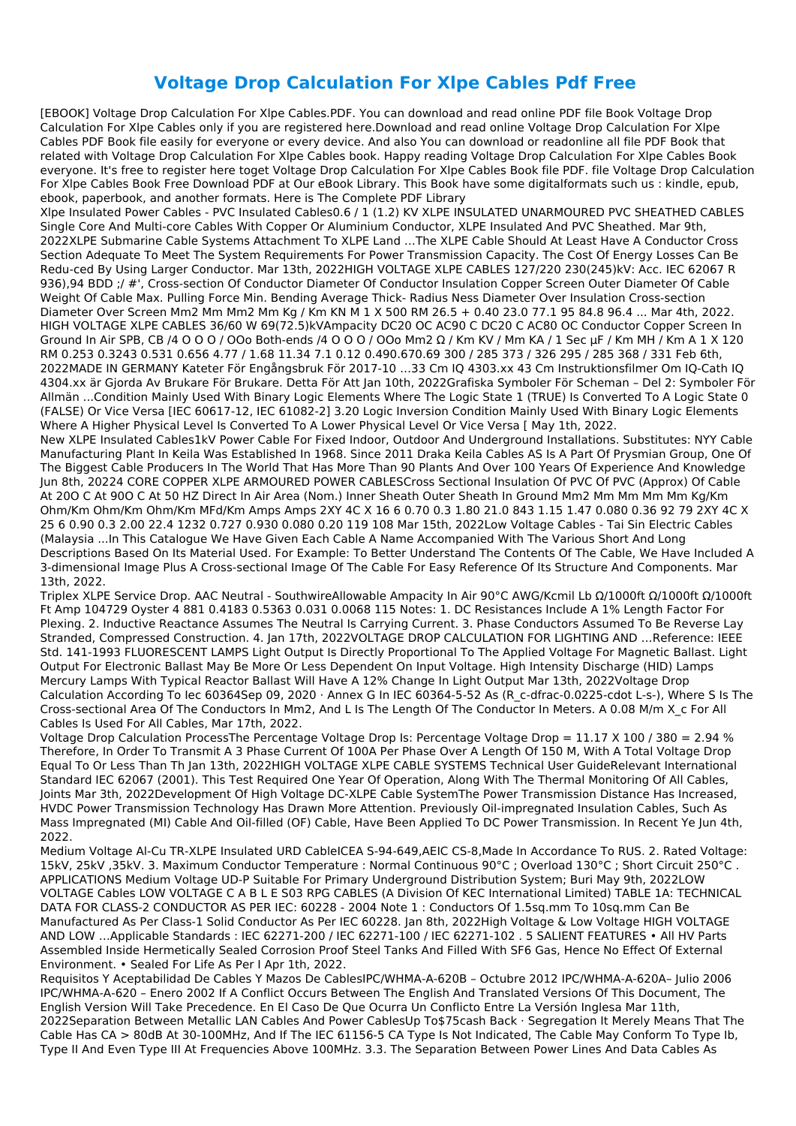## **Voltage Drop Calculation For Xlpe Cables Pdf Free**

[EBOOK] Voltage Drop Calculation For Xlpe Cables.PDF. You can download and read online PDF file Book Voltage Drop Calculation For Xlpe Cables only if you are registered here.Download and read online Voltage Drop Calculation For Xlpe Cables PDF Book file easily for everyone or every device. And also You can download or readonline all file PDF Book that related with Voltage Drop Calculation For Xlpe Cables book. Happy reading Voltage Drop Calculation For Xlpe Cables Book everyone. It's free to register here toget Voltage Drop Calculation For Xlpe Cables Book file PDF. file Voltage Drop Calculation For Xlpe Cables Book Free Download PDF at Our eBook Library. This Book have some digitalformats such us : kindle, epub, ebook, paperbook, and another formats. Here is The Complete PDF Library

Xlpe Insulated Power Cables - PVC Insulated Cables0.6 / 1 (1.2) KV XLPE INSULATED UNARMOURED PVC SHEATHED CABLES Single Core And Multi-core Cables With Copper Or Aluminium Conductor, XLPE Insulated And PVC Sheathed. Mar 9th, 2022XLPE Submarine Cable Systems Attachment To XLPE Land …The XLPE Cable Should At Least Have A Conductor Cross Section Adequate To Meet The System Requirements For Power Transmission Capacity. The Cost Of Energy Losses Can Be Redu-ced By Using Larger Conductor. Mar 13th, 2022HIGH VOLTAGE XLPE CABLES 127/220 230(245)kV: Acc. IEC 62067 R 936),94 BDD ;/ #', Cross-section Of Conductor Diameter Of Conductor Insulation Copper Screen Outer Diameter Of Cable Weight Of Cable Max. Pulling Force Min. Bending Average Thick- Radius Ness Diameter Over Insulation Cross-section Diameter Over Screen Mm2 Mm Mm2 Mm Kg / Km KN M 1 X 500 RM 26.5 + 0.40 23.0 77.1 95 84.8 96.4 ... Mar 4th, 2022. HIGH VOLTAGE XLPE CABLES 36/60 W 69(72.5)kVAmpacity DC20 OC AC90 C DC20 C AC80 OC Conductor Copper Screen In Ground In Air SPB, CB /4 O O O / OOo Both-ends /4 O O O / OOo Mm2 Ω / Km KV / Mm KA / 1 Sec μF / Km MH / Km A 1 X 120 RM 0.253 0.3243 0.531 0.656 4.77 / 1.68 11.34 7.1 0.12 0.490.670.69 300 / 285 373 / 326 295 / 285 368 / 331 Feb 6th, 2022MADE IN GERMANY Kateter För Engångsbruk För 2017-10 …33 Cm IQ 4303.xx 43 Cm Instruktionsfilmer Om IQ-Cath IQ 4304.xx är Gjorda Av Brukare För Brukare. Detta För Att Jan 10th, 2022Grafiska Symboler För Scheman – Del 2: Symboler För Allmän ...Condition Mainly Used With Binary Logic Elements Where The Logic State 1 (TRUE) Is Converted To A Logic State 0 (FALSE) Or Vice Versa [IEC 60617-12, IEC 61082-2] 3.20 Logic Inversion Condition Mainly Used With Binary Logic Elements Where A Higher Physical Level Is Converted To A Lower Physical Level Or Vice Versa [ May 1th, 2022.

New XLPE Insulated Cables1kV Power Cable For Fixed Indoor, Outdoor And Underground Installations. Substitutes: NYY Cable Manufacturing Plant In Keila Was Established In 1968. Since 2011 Draka Keila Cables AS Is A Part Of Prysmian Group, One Of The Biggest Cable Producers In The World That Has More Than 90 Plants And Over 100 Years Of Experience And Knowledge Jun 8th, 20224 CORE COPPER XLPE ARMOURED POWER CABLESCross Sectional Insulation Of PVC Of PVC (Approx) Of Cable At 20O C At 90O C At 50 HZ Direct In Air Area (Nom.) Inner Sheath Outer Sheath In Ground Mm2 Mm Mm Mm Mm Kg/Km Ohm/Km Ohm/Km Ohm/Km MFd/Km Amps Amps 2XY 4C X 16 6 0.70 0.3 1.80 21.0 843 1.15 1.47 0.080 0.36 92 79 2XY 4C X 25 6 0.90 0.3 2.00 22.4 1232 0.727 0.930 0.080 0.20 119 108 Mar 15th, 2022Low Voltage Cables - Tai Sin Electric Cables (Malaysia ...In This Catalogue We Have Given Each Cable A Name Accompanied With The Various Short And Long Descriptions Based On Its Material Used. For Example: To Better Understand The Contents Of The Cable, We Have Included A 3-dimensional Image Plus A Cross-sectional Image Of The Cable For Easy Reference Of Its Structure And Components. Mar 13th, 2022.

Triplex XLPE Service Drop. AAC Neutral - SouthwireAllowable Ampacity In Air 90°C AWG/Kcmil Lb Ω/1000ft Ω/1000ft Ω/1000ft Ft Amp 104729 Oyster 4 881 0.4183 0.5363 0.031 0.0068 115 Notes: 1. DC Resistances Include A 1% Length Factor For Plexing. 2. Inductive Reactance Assumes The Neutral Is Carrying Current. 3. Phase Conductors Assumed To Be Reverse Lay Stranded, Compressed Construction. 4. Jan 17th, 2022VOLTAGE DROP CALCULATION FOR LIGHTING AND …Reference: IEEE Std. 141-1993 FLUORESCENT LAMPS Light Output Is Directly Proportional To The Applied Voltage For Magnetic Ballast. Light Output For Electronic Ballast May Be More Or Less Dependent On Input Voltage. High Intensity Discharge (HID) Lamps Mercury Lamps With Typical Reactor Ballast Will Have A 12% Change In Light Output Mar 13th, 2022Voltage Drop Calculation According To Iec 60364Sep 09, 2020 · Annex G In IEC 60364-5-52 As (R c-dfrac-0.0225-cdot L-s-), Where S Is The Cross-sectional Area Of The Conductors In Mm2, And L Is The Length Of The Conductor In Meters. A 0.08 M/m X\_c For All Cables Is Used For All Cables, Mar 17th, 2022.

Voltage Drop Calculation ProcessThe Percentage Voltage Drop Is: Percentage Voltage Drop = 11.17 X 100 / 380 = 2.94 % Therefore, In Order To Transmit A 3 Phase Current Of 100A Per Phase Over A Length Of 150 M, With A Total Voltage Drop Equal To Or Less Than Th Jan 13th, 2022HIGH VOLTAGE XLPE CABLE SYSTEMS Technical User GuideRelevant International Standard IEC 62067 (2001). This Test Required One Year Of Operation, Along With The Thermal Monitoring Of All Cables, Joints Mar 3th, 2022Development Of High Voltage DC-XLPE Cable SystemThe Power Transmission Distance Has Increased, HVDC Power Transmission Technology Has Drawn More Attention. Previously Oil-impregnated Insulation Cables, Such As Mass Impregnated (MI) Cable And Oil-filled (OF) Cable, Have Been Applied To DC Power Transmission. In Recent Ye Jun 4th, 2022.

Medium Voltage Al-Cu TR-XLPE Insulated URD CableICEA S-94-649,AEIC CS-8,Made In Accordance To RUS. 2. Rated Voltage:

15kV, 25kV ,35kV. 3. Maximum Conductor Temperature : Normal Continuous 90°C ; Overload 130°C ; Short Circuit 250°C . APPLICATIONS Medium Voltage UD-P Suitable For Primary Underground Distribution System; Buri May 9th, 2022LOW VOLTAGE Cables LOW VOLTAGE C A B L E S03 RPG CABLES (A Division Of KEC International Limited) TABLE 1A: TECHNICAL DATA FOR CLASS-2 CONDUCTOR AS PER IEC: 60228 - 2004 Note 1 : Conductors Of 1.5sq.mm To 10sq.mm Can Be Manufactured As Per Class-1 Solid Conductor As Per IEC 60228. Jan 8th, 2022High Voltage & Low Voltage HIGH VOLTAGE AND LOW …Applicable Standards : IEC 62271-200 / IEC 62271-100 / IEC 62271-102 . 5 SALIENT FEATURES • All HV Parts Assembled Inside Hermetically Sealed Corrosion Proof Steel Tanks And Filled With SF6 Gas, Hence No Effect Of External Environment. • Sealed For Life As Per I Apr 1th, 2022.

Requisitos Y Aceptabilidad De Cables Y Mazos De CablesIPC/WHMA-A-620B – Octubre 2012 IPC/WHMA-A-620A– Julio 2006 IPC/WHMA-A-620 – Enero 2002 If A Conflict Occurs Between The English And Translated Versions Of This Document, The English Version Will Take Precedence. En El Caso De Que Ocurra Un Conflicto Entre La Versión Inglesa Mar 11th, 2022Separation Between Metallic LAN Cables And Power CablesUp To\$75cash Back · Segregation It Merely Means That The Cable Has CA > 80dB At 30-100MHz, And If The IEC 61156-5 CA Type Is Not Indicated, The Cable May Conform To Type Ib, Type II And Even Type III At Frequencies Above 100MHz. 3.3. The Separation Between Power Lines And Data Cables As